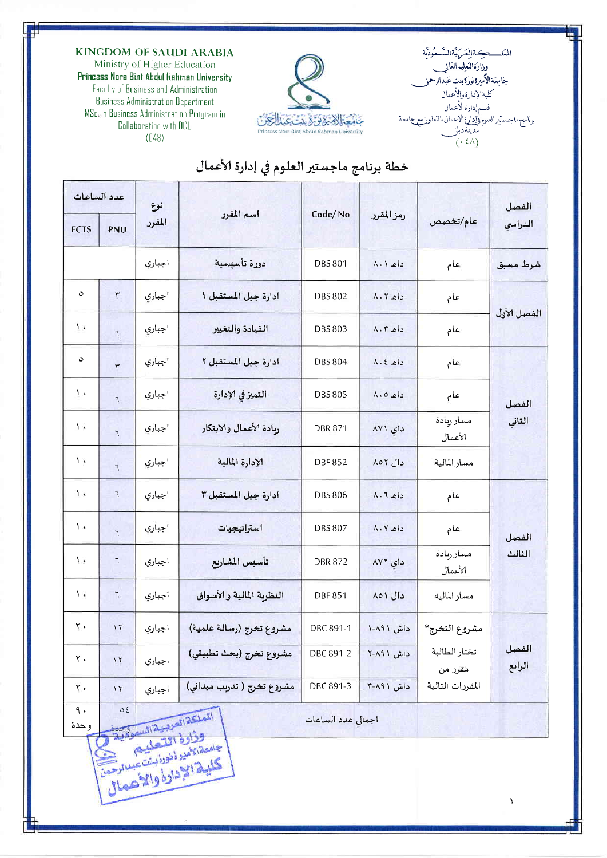**KINGDOM OF SAUDI ARABIA** 

Ministry of Higher Education Princess Nora Bint Abdul Rahman University Faculty of Business and Administration **Business Administration Department** MSc. in Business Administration Program in Collaboration with DCU  $(048)$ 



المكلكيةالعكربيةالتسعودتة وزارةالنعليم العالم جَامِعَةالأَميرةنورَةُبنتِ عَبدالرحمز ير كرين.<br>كليةالإدارةوالأعمال<br>قسم إدارةالأعمال سبر العلوم وإدارة الاعمال بالتعاور مع جامعة برنامج ماجس نیست<br>مدینة دبلز<br>(۱۶۸ )

 $\bar{V}$ 

## خطة برنامج ماجستير العلوم في إدارة الأعمال

| عدد الساعات                                                                   |                   | نوع    |                            |                           |                       |                          | الفصل           |  |  |  |  |
|-------------------------------------------------------------------------------|-------------------|--------|----------------------------|---------------------------|-----------------------|--------------------------|-----------------|--|--|--|--|
| <b>ECTS</b>                                                                   | PNU               | المقرر | اسم المقرر                 | Code/No                   | رمز المقرر            | عام/تخصص                 | الدراسي         |  |  |  |  |
|                                                                               |                   | اجباري | دورة تأسنسية               | <b>DBS 801</b>            | داه ۸۰۱               | عام                      | شرط مسبق        |  |  |  |  |
| $\circ$                                                                       | ٣                 | اجبأري | ادارة جيل المستقبل ١       | <b>DBS 802</b>            | $\Lambda$ . $\Lambda$ | عام                      |                 |  |  |  |  |
| $\mathbf{L}$                                                                  | $\mathcal{L}$     | اجباري | القيادة والتغيير           | <b>DBS 803</b><br>داه ۸.۳ |                       | عام                      | الفصل الأول     |  |  |  |  |
| $\circ$                                                                       | $\overline{\tau}$ | اجباري | ادارة جيل المستقبل ٢       | <b>DBS 804</b>            | $\lambda.2$           | عام                      |                 |  |  |  |  |
| Ţ,                                                                            | $\mathcal{L}$     | اجباري | التميز في الإدارة          | <b>DBS 805</b>            | داه ۸۰۵               | عام                      | الفصل           |  |  |  |  |
| $\lambda$                                                                     | $\overline{1}$    | اجبآري | ربادة الأعمال والابتكار    | <b>DBR 871</b>            | دای ۸۷۱               | مسارريادة<br>الأعمال     | الثاني          |  |  |  |  |
| $\lambda$                                                                     | $\overline{1}$    | اجباري | الإدارة المالية            | <b>DBF852</b>             | دال ۸۵۲               | مسار المالية             |                 |  |  |  |  |
| $\mathcal{L}$                                                                 | $\mathcal{L}$     | اجباري | ادارة جيل المستقبل ٣       | <b>DBS 806</b>            | $\Lambda \cdot 7$     | عام                      | الفصل           |  |  |  |  |
| $\mathbf{A}$                                                                  | $\mathbf{r}$      | اجباري | استراتيجيات                | <b>DBS 807</b>            | داه ۸۰۷               | عام                      |                 |  |  |  |  |
| ٠.                                                                            | ٦                 | اجباري | تأسيس المشاريع             | <b>DBR872</b>             | دای ۸۷۲               | مسار ريادة<br>الأعمال    | الثالث          |  |  |  |  |
| $\lambda$ W                                                                   | $\mathcal{T}$     | أجبأري | النظربة المالية والأسواق   | <b>DBF851</b>             | دال ۸۵۱               | مسار المالية             |                 |  |  |  |  |
| $\mathbf{Y}$                                                                  | $\sqrt{t}$        | اجباري | مشروع تخرج (رسالة علمية)   | DBC 891-1                 | داش ۸۹۱-۱             | مشروع التخرج*            | الفصل<br>الرابع |  |  |  |  |
| $\mathbf{Y}$ .                                                                | $\sqrt{t}$        | اجباري | مشروع تخرج (بحث تطبيقي)    | DBC 891-2                 | داش ۸۹۱-۲             | تختار الطالبة<br>مقرر من |                 |  |  |  |  |
| ٢.                                                                            | 11                | اجباري | مشروع تخرج ( تدريب ميداني) | DBC 891-3                 | داش ۸۹۱-۳             | المقررات التالية         |                 |  |  |  |  |
| ٩.<br>0 <sup>2</sup><br>الملكة العربية السعودية<br>اجمالى عدد الساعات<br>وحدة |                   |        |                            |                           |                       |                          |                 |  |  |  |  |
| وذارة التعليم<br>جامعة الأمير أنورا بست عبدالرحمن<br>كلية الادادة والأعمال    |                   |        |                            |                           |                       |                          |                 |  |  |  |  |